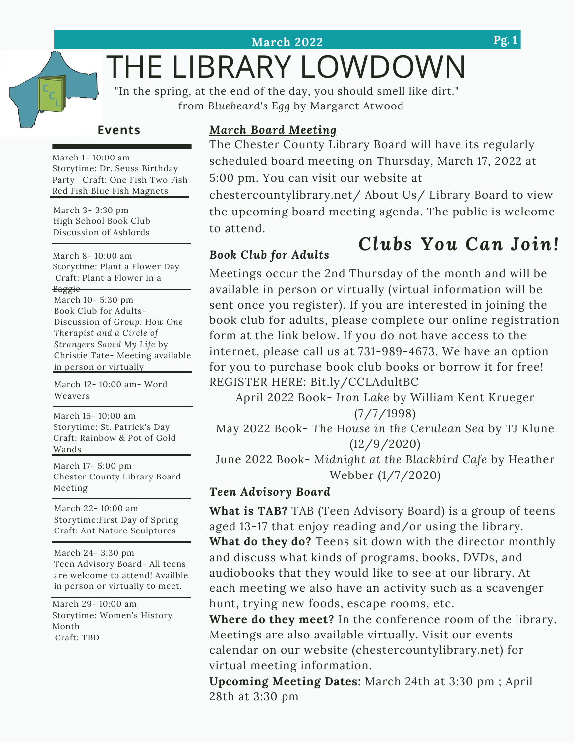# THE LIBRARY LOWDOWN

"In the spring, at the end of the day, you should smell like dirt." - from *Bluebeard's Egg* by Margaret Atwood

## **Events**

March 1- 10:00 am Storytime: Dr. Seuss Birthday Party Craft: One Fish Two Fish Red Fish Blue Fish Magnets

March 3- 3:30 pm High School Book Club Discussion of Ashlords

March 8- 10:00 am Storytime: Plant a Flower Day Craft: Plant a Flower in a Baggie

March 10- 5:30 pm Book Club for Adults-Discussion of *Group: How One Therapist and a Circle of Strangers Saved My Life* by Christie Tate- Meeting available in person or virtually

March 12- 10:00 am- Word Weavers

March 15- 10:00 am Storytime: St. Patrick's Day Craft: Rainbow & Pot of Gold Wands

March 17- 5:00 pm Chester County Library Board Meeting

March 22- 10:00 am Storytime:First Day of Spring Craft: Ant Nature Sculptures

March 24- 3:30 pm Teen Advisory Board- All teens are welcome to attend! Availble in person or virtually to meet.

March 29- 10:00 am Storytime: Women's History Month Craft: TBD

## *March Board Meeting*

The Chester County Library Board will have its regularly scheduled board meeting on Thursday, March 17, 2022 at 5:00 pm. You can visit our website at

*Clubs You Can Join!* chestercountylibrary.net/ About Us/ Library Board to view the upcoming board meeting agenda. The public is welcome to attend.

## *Book Club for Adults*

## Meetings occur the 2nd Thursday of the month and will be available in person or virtually (virtual information will be sent once you register). If you are interested in joining the book club for adults, please complete our online registration form at the link below. If you do not have access to the internet, please call us at 731-989-4673. We have an option

REGISTER HERE: Bit.ly/CCLAdultBC April 2022 Book- *Iron Lake* by William Kent Krueger (7/7/1998)

for you to purchase book club books or borrow it for free!

May 2022 Book- *The House in the Cerulean Sea* by TJ Klune (12/9/2020)

June 2022 Book- *Midnight at the Blackbird Cafe* by Heather Webber (1/7/2020)

## *Teen Advisory Board*

**What is TAB?** TAB (Teen Advisory Board) is a group of teens aged 13-17 that enjoy reading and/or using the library.

**What do they do?** Teens sit down with the director monthly and discuss what kinds of programs, books, DVDs, and audiobooks that they would like to see at our library. At each meeting we also have an activity such as a scavenger hunt, trying new foods, escape rooms, etc.

**Where do they meet?** In the conference room of the library. Meetings are also available virtually. Visit our events calendar on our website (chestercountylibrary.net) for virtual meeting information.

**Upcoming Meeting Dates:** March 24th at 3:30 pm ; April 28th at 3:30 pm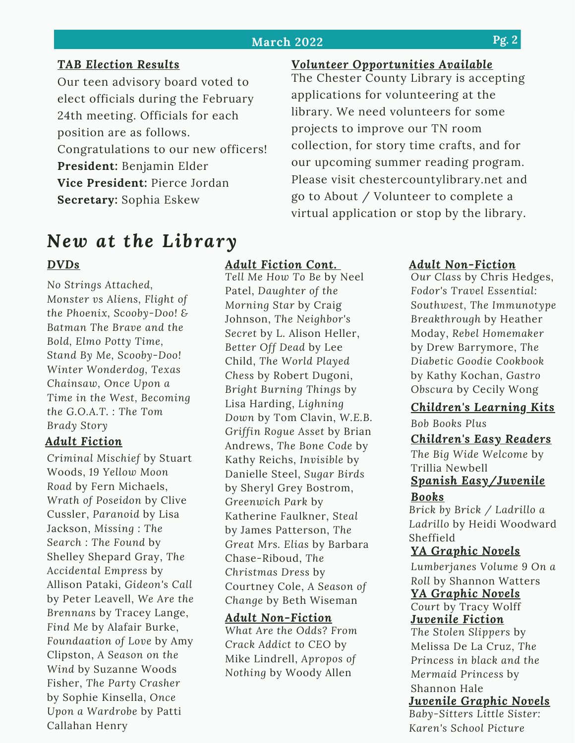### **March 2022**

## *TAB Election Results*

Our teen advisory board voted to elect officials during the February 24th meeting. Officials for each position are as follows. Congratulations to our new officers! **President:** Benjamin Elder **Vice President:** Pierce Jordan **Secretary:** Sophia Eskew

## *New at the Library*

## *DVDs*

*No Strings Attached, Monster vs Aliens, Flight of the Phoenix, Scooby-Doo! & Batman The Brave and the Bold, Elmo Potty Time, Stand By Me, Scooby-Doo! Winter Wonderdog, Texas Chainsaw, Once Upon a Time in the West, Becoming the G.O.A.T. : The Tom Brady Story*

### *Adult Fiction*

*Criminal Mischief* by Stuart Woods, *19 Yellow Moon Road* by Fern Michaels, *Wrath of Poseidon* by Clive Cussler, *Paranoid* by Lisa Jackson, *Missing : The Search : The Found* by Shelley Shepard Gray, *The Accidental Empress* by Allison Pataki, *Gideon's Call* by Peter Leavell, *We Are the Brennans* by Tracey Lange, *Find Me* by Alafair Burke, *Foundaation of Love* by Amy Clipston, *A Season on the Wind* by Suzanne Woods Fisher, *The Party Crasher* by Sophie Kinsella, *Once Upon a Wardrobe* by Patti Callahan Henry

### *Adult Fiction Cont.*

*Tell Me How To Be* by Neel Patel, *Daughter of the Morning Star* by Craig Johnson, *The Neighbor's Secret* by L. Alison Heller, *Better Off Dead* by Lee Child, *The World Played Chess* by Robert Dugoni, *Bright Burning Things* by Lisa Harding, *Lighning Down* by Tom Clavin, *W.E.B. Griffin Rogue Asset* by Brian Andrews, *The Bone Code* by Kathy Reichs, *Invisible* by Danielle Steel, *Sugar Birds* by Sheryl Grey Bostrom, *Greenwich Park* by Katherine Faulkner, *Steal* by James Patterson, *The Great Mrs. Elias* by Barbara Chase-Riboud, *The Christmas Dress* by Courtney Cole, *A Season of Change* by Beth Wiseman

#### *Adult Non-Fiction*

*What Are the Odds? From Crack Addict to CEO* by Mike Lindrell, *Apropos of Nothing* by Woody Allen

## *Volunteer Opportunities Available*

The Chester County Library is accepting applications for volunteering at the library. We need volunteers for some projects to improve our TN room collection, for story time crafts, and for our upcoming summer reading program. Please visit chestercountylibrary.net and go to About / Volunteer to complete a virtual application or stop by the library.

## *Adult Non-Fiction*

*Our Class* by Chris Hedges, *Fodor's Travel Essential: Southwest, The Immunotype Breakthrough* by Heather Moday, *Rebel Homemaker* by Drew Barrymore, *The Diabetic Goodie Cookbook* by Kathy Kochan, *Gastro Obscura* by Cecily Wong

## *Children's Learning Kits*

*Bob Books Plus*

## *Children's Easy Readers*

*The Big Wide Welcome* by Trillia Newbell *Spanish Easy/Juvenile*

### *Books*

*Brick by Brick / Ladrillo a Ladrillo* by Heidi Woodward Sheffield

### *YA Graphic Novels*

*Lumberjanes Volume 9 On a Roll* by Shannon Watters

## *YA Graphic Novels*

*Court* by Tracy Wolff *Juvenile Fiction*

*The Stolen Slippers* by Melissa De La Cruz, *The Princess in black and the Mermaid Princess* by Shannon Hale *Juvenile Graphic Novels*

*Baby-Sitters Little Sister: Karen's School Picture*